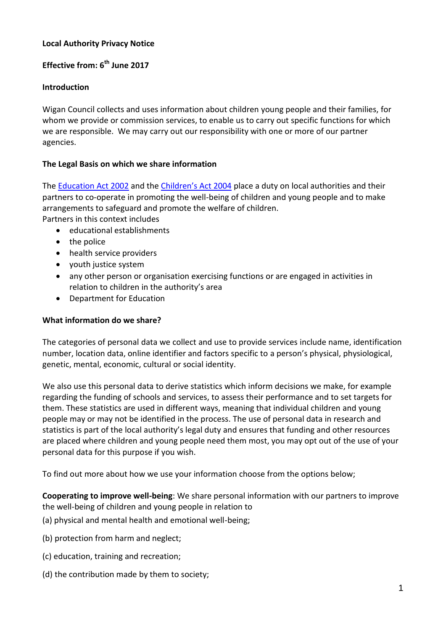## **Local Authority Privacy Notice**

# **Effective from: 6 th June 2017**

### **Introduction**

Wigan Council collects and uses information about children young people and their families, for whom we provide or commission services, to enable us to carry out specific functions for which we are responsible. We may carry out our responsibility with one or more of our partner agencies.

### **The Legal Basis on which we share information**

The [Education Act 2002](http://www.legislation.gov.uk/ukpga/2002/32/section/175) and the [Children's Act 2004](http://www.legislation.gov.uk/ukpga/2004/31/section/10) place a duty on local authorities and their partners to co-operate in promoting the well-being of children and young people and to make arrangements to safeguard and promote the welfare of children.

Partners in this context includes

- educational establishments
- the police
- health service providers
- youth justice system
- any other person or organisation exercising functions or are engaged in activities in relation to children in the authority's area
- Department for Education

#### **What information do we share?**

The categories of personal data we collect and use to provide services include name, identification number, location data, online identifier and factors specific to a person's physical, physiological, genetic, mental, economic, cultural or social identity.

We also use this personal data to derive statistics which inform decisions we make, for example regarding the funding of schools and services, to assess their performance and to set targets for them. These statistics are used in different ways, meaning that individual children and young people may or may not be identified in the process. The use of personal data in research and statistics is part of the local authority's legal duty and ensures that funding and other resources are placed where children and young people need them most, you may opt out of the use of your personal data for this purpose if you wish.

To find out more about how we use your information choose from the options below;

**Cooperating to improve well-being**: We share personal information with our partners to improve the well-being of children and young people in relation to

- (a) physical and mental health and emotional well-being;
- (b) protection from harm and neglect;
- (c) education, training and recreation;
- (d) the contribution made by them to society;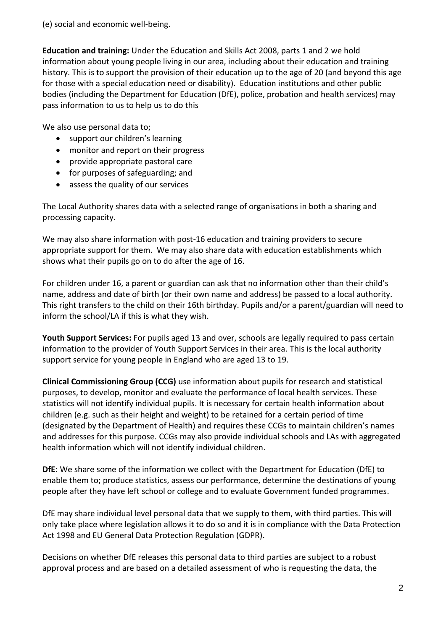(e) social and economic well-being.

**Education and training:** Under the Education and Skills Act 2008, parts 1 and 2 we hold information about young people living in our area, including about their education and training history. This is to support the provision of their education up to the age of 20 (and beyond this age for those with a special education need or disability). Education institutions and other public bodies (including the Department for Education (DfE), police, probation and health services) may pass information to us to help us to do this

We also use personal data to;

- support our children's learning
- monitor and report on their progress
- provide appropriate pastoral care
- for purposes of safeguarding; and
- assess the quality of our services

The Local Authority shares data with a selected range of organisations in both a sharing and processing capacity.

We may also share information with post-16 education and training providers to secure appropriate support for them. We may also share data with education establishments which shows what their pupils go on to do after the age of 16.

For children under 16, a parent or guardian can ask that no information other than their child's name, address and date of birth (or their own name and address) be passed to a local authority. This right transfers to the child on their 16th birthday. Pupils and/or a parent/guardian will need to inform the school/LA if this is what they wish.

**Youth Support Services:** For pupils aged 13 and over, schools are legally required to pass certain information to the provider of Youth Support Services in their area. This is the local authority support service for young people in England who are aged 13 to 19.

**Clinical Commissioning Group (CCG)** use information about pupils for research and statistical purposes, to develop, monitor and evaluate the performance of local health services. These statistics will not identify individual pupils. It is necessary for certain health information about children (e.g. such as their height and weight) to be retained for a certain period of time (designated by the Department of Health) and requires these CCGs to maintain children's names and addresses for this purpose. CCGs may also provide individual schools and LAs with aggregated health information which will not identify individual children.

**DfE**: We share some of the information we collect with the Department for Education (DfE) to enable them to; produce statistics, assess our performance, determine the destinations of young people after they have left school or college and to evaluate Government funded programmes.

DfE may share individual level personal data that we supply to them, with third parties. This will only take place where legislation allows it to do so and it is in compliance with the Data Protection Act 1998 and EU General Data Protection Regulation (GDPR).

Decisions on whether DfE releases this personal data to third parties are subject to a robust approval process and are based on a detailed assessment of who is requesting the data, the